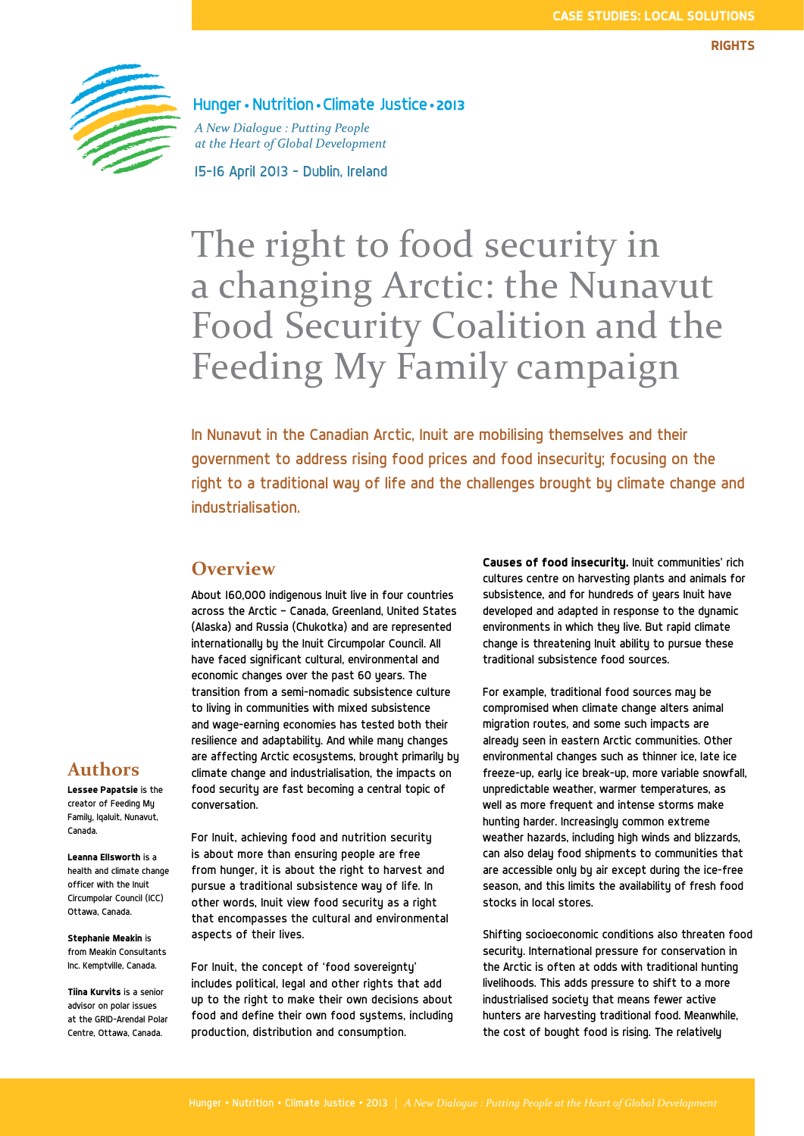

Hunger • Nutrition • Climate Justice • 2013

A New Dialogue: Putting People at the Heart of Global Development

15-16 April 2013 - Dublin, Ireland

# The right to food security in a changing Arctic: the Nunavut Food Security Coalition and the Feeding My Family campaign

In Nunavut in the Canadian Arctic, Inuit are mobilising themselves and their government to address rising food prices and food insecurity; focusing on the right to a traditional way of life and the challenges brought by climate change and industrialisation.

## **Overview**

About 160,000 indigenous Inuit live in four countries across the Arctic — Canada, Greenland, United States (Alaska) and Russia (Chukotka) and are represented internationally by the Inuit Circumpolar Council. All have faced significant cultural, environmental and economic changes over the past 60 years. The transition from a semi-nomadic subsistence culture to living in communities with mixed subsistence and wage-earning economies has tested both their resilience and adaptability. And while many changes are affecting Arctic ecosystems, brought primarily by climate change and industrialisation, the impacts on food security are fast becoming a central topic of conversation.

For Inuit, achieving food and nutrition security is about more than ensuring people are free from hunger, it is about the right to harvest and pursue a traditional subsistence way of life. In other words, Inuit view food security as a right that encompasses the cultural and environmental aspects of their lives.

For Inuit, the concept of 'food sovereignty' includes political, legal and other rights that add up to the right to make their own decisions about food and define their own food sustems, including production, distribution and consumption.

**Causes of food insecurity.** Inuit communities' rich cultures centre on harvesting plants and animals for subsistence, and for hundreds of years Inuit have developed and adapted in response to the dynamic environments in which they live. But rapid climate change is threatening Inuit ability to pursue these traditional subsistence food sources.

For example, traditional food sources may be compromised when climate change alters animal migration routes, and some such impacts are already seen in eastern Arctic communities. Other environmental changes such as thinner ice, late ice freeze-up, early ice break-up, more variable snowfall, unpredictable weather, warmer temperatures, as well as more frequent and intense storms make hunting harder. Increasingly common extreme weather hazards, including high winds and blizzards, can also delay food shipments to communities that are accessible only by air except during the ice-free season, and this limits the availability of fresh food stocks in local stores.

Shifting socioeconomic conditions also threaten food security. International pressure for conservation in the Arctic is often at odds with traditional hunting livelihoods. This adds pressure to shift to a more industrialised society that means fewer active hunters are harvesting traditional food. Meanwhile, the cost of bought food is rising. The relatively

# **Authors**

**Lessee Papatsie** is the creator of Feeding My Family, Iqaluit, Nunavut, Canada.

**Leanna Ellsworth** is a health and climate change officer with the Inuit Circumpolar Council (ICC) Ottawa, Canada.

**Stephanie Meakin** is from Meakin Consultants Inc. Kemptville, Canada.

**Tiina Kurvits** is a senior advisor on polar issues at the GRID-Arendal Polar Centre, Ottawa, Canada.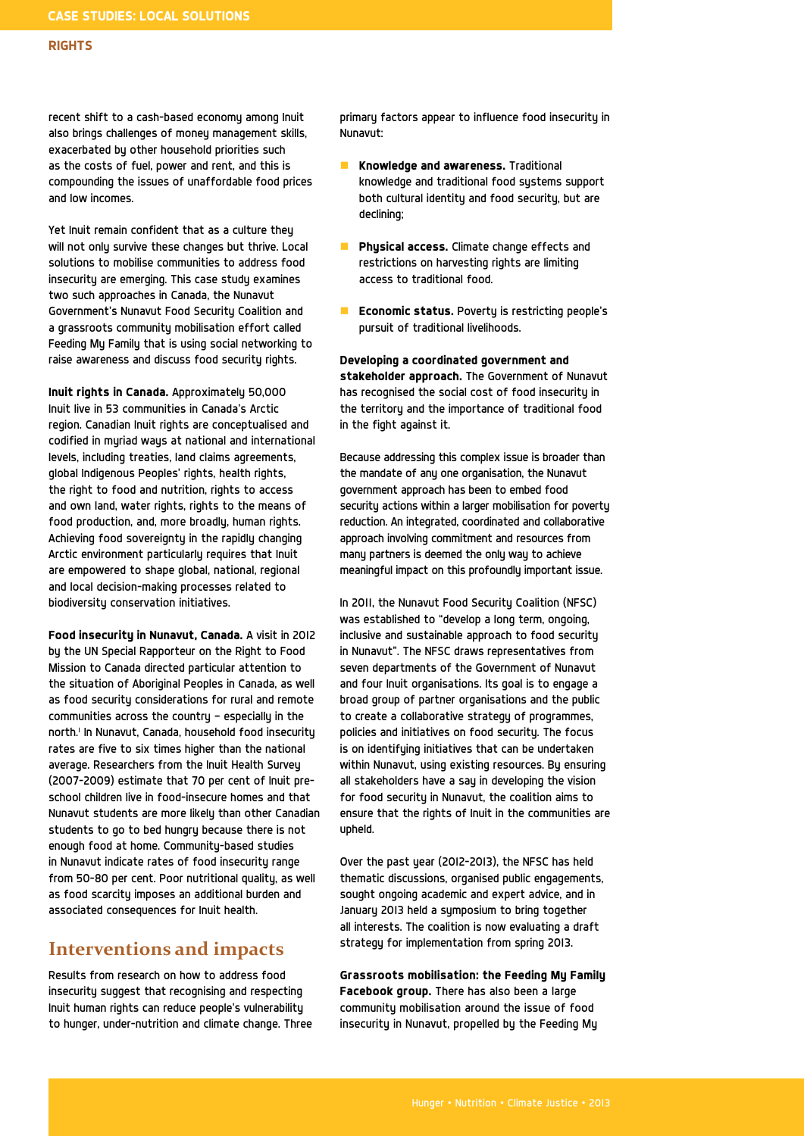recent shift to a cash-based economy among Inuit also brings challenges of money management skills, exacerbated by other household priorities such as the costs of fuel, power and rent, and this is compounding the issues of unaffordable food prices and low incomes.

Yet Inuit remain confident that as a culture they will not only survive these changes but thrive. Local solutions to mobilise communities to address food insecurity are emerging. This case study examines two such approaches in Canada, the Nunavut Government's Nunavut Food Security Coalition and a grassroots community mobilisation effort called Feeding My Family that is using social networking to raise awareness and discuss food security rights.

**Inuit rights in Canada.** Approximately 50,000 Inuit live in 53 communities in Canada's Arctic region. Canadian Inuit rights are conceptualised and codified in myriad ways at national and international levels, including treaties, land claims agreements, global Indigenous Peoples' rights, health rights, the right to food and nutrition, rights to access and own land, water rights, rights to the means of food production, and, more broadly, human rights. Achieving food sovereignty in the rapidly changing Arctic environment particularly requires that Inuit are empowered to shape global, national, regional and local decision-making processes related to biodiversity conservation initiatives.

**Food insecurity in Nunavut, Canada.** A visit in 2012 by the UN Special Rapporteur on the Right to Food Mission to Canada directed particular attention to the situation of Aboriginal Peoples in Canada, as well as food security considerations for rural and remote communities across the country — especially in the north.1 In Nunavut, Canada, household food insecurity rates are five to six times higher than the national average. Researchers from the Inuit Health Survey (2007-2009) estimate that 70 per cent of Inuit preschool children live in food-insecure homes and that Nunavut students are more likely than other Canadian students to go to bed hungry because there is not enough food at home. Community-based studies in Nunavut indicate rates of food insecurity range from 50-80 per cent. Poor nutritional quality, as well as food scarcity imposes an additional burden and associated consequences for Inuit health.

# **Interventions and impacts**

Results from research on how to address food insecurity suggest that recognising and respecting Inuit human rights can reduce people's vulnerability to hunger, under-nutrition and climate change. Three primary factors appear to influence food insecurity in Nunavut:

- **Knowledge and awareness.** Traditional knowledge and traditional food systems support both cultural identity and food security, but are declining;
- **Phusical access.** Climate change effects and restrictions on harvesting rights are limiting access to traditional food.
- **Economic status.** Poverty is restricting people's pursuit of traditional livelihoods.

**Developing a coordinated government and stakeholder approach.** The Government of Nunavut has recognised the social cost of food insecurity in the territory and the importance of traditional food in the fight against it.

Because addressing this complex issue is broader than the mandate of any one organisation, the Nunavut government approach has been to embed food security actions within a larger mobilisation for poverty reduction. An integrated, coordinated and collaborative approach involving commitment and resources from many partners is deemed the only way to achieve meaningful impact on this profoundly important issue.

In 2011, the Nunavut Food Security Coalition (NFSC) was established to "develop a long term, ongoing, inclusive and sustainable approach to food security in Nunavut". The NFSC draws representatives from seven departments of the Government of Nunavut and four Inuit organisations. Its goal is to engage a broad group of partner organisations and the public to create a collaborative strategy of programmes, policies and initiatives on food security. The focus is on identifying initiatives that can be undertaken within Nunavut, using existing resources. By ensuring all stakeholders have a say in developing the vision for food security in Nunavut, the coalition aims to ensure that the rights of Inuit in the communities are upheld.

Over the past year (2012-2013), the NFSC has held thematic discussions, organised public engagements, sought ongoing academic and expert advice, and in January 2013 held a symposium to bring together all interests. The coalition is now evaluating a draft strategy for implementation from spring 2013.

**Grassroots mobilisation: the Feeding My Family Facebook group.** There has also been a large community mobilisation around the issue of food insecurity in Nunavut, propelled by the Feeding My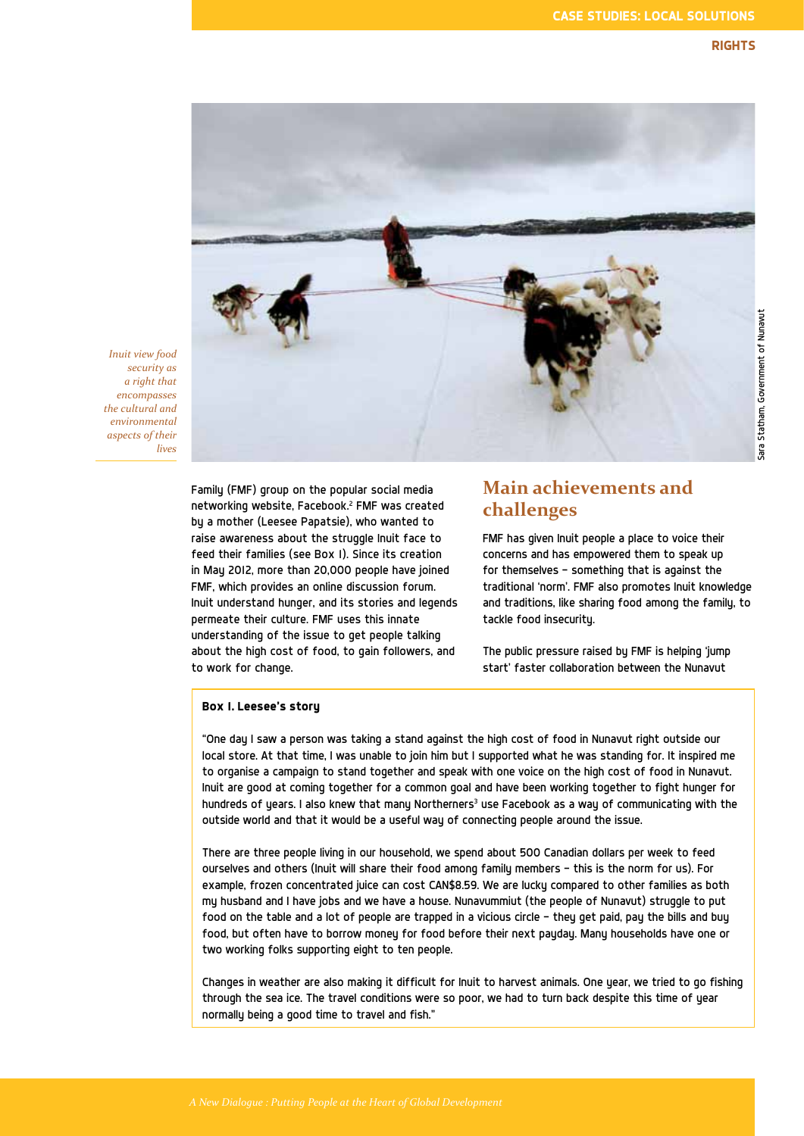

*Inuit view food security as a right that encompasses the cultural and environmental aspects of their lives*

> Family (FMF) group on the popular social media networking website, Facebook.2 FMF was created by a mother (Leesee Papatsie), who wanted to raise awareness about the struggle Inuit face to feed their families (see Box 1). Since its creation in May 2012, more than 20,000 people have joined FMF, which provides an online discussion forum. Inuit understand hunger, and its stories and legends permeate their culture. FMF uses this innate understanding of the issue to get people talking about the high cost of food, to gain followers, and to work for change.

# **Main achievements and challenges**

FMF has given Inuit people a place to voice their concerns and has empowered them to speak up for themselves — something that is against the traditional 'norm'. FMF also promotes Inuit knowledge and traditions, like sharing food among the family, to tackle food insecurity.

The public pressure raised by FMF is helping 'jump start' faster collaboration between the Nunavut

#### **Box 1. Leesee's story**

"One day I saw a person was taking a stand against the high cost of food in Nunavut right outside our local store. At that time, I was unable to join him but I supported what he was standing for. It inspired me to organise a campaign to stand together and speak with one voice on the high cost of food in Nunavut. Inuit are good at coming together for a common goal and have been working together to fight hunger for hundreds of years. I also knew that many Northerners $^{\rm 3}$  use Facebook as a way of communicating with the outside world and that it would be a useful way of connecting people around the issue.

There are three people living in our household, we spend about 500 Canadian dollars per week to feed ourselves and others (Inuit will share their food among family members — this is the norm for us). For example, frozen concentrated juice can cost CAN\$8.59. We are lucky compared to other families as both my husband and I have jobs and we have a house. Nunavummiut (the people of Nunavut) struggle to put food on the table and a lot of people are trapped in a vicious circle — they get paid, pay the bills and buy food, but often have to borrow money for food before their next payday. Many households have one or two working folks supporting eight to ten people.

Changes in weather are also making it difficult for Inuit to harvest animals. One year, we tried to go fishing through the sea ice. The travel conditions were so poor, we had to turn back despite this time of year normally being a good time to travel and fish."